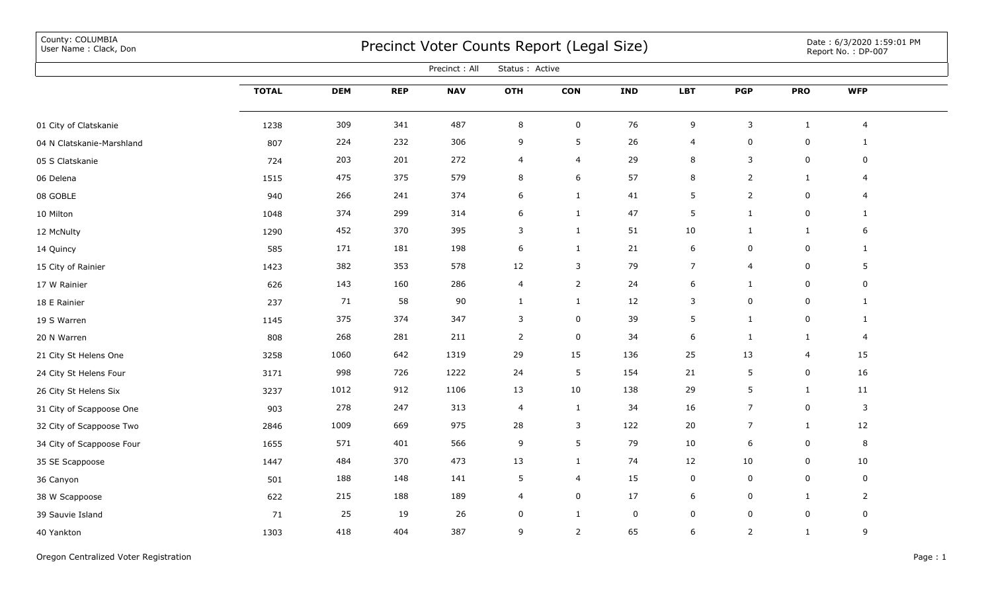County: COLUMBIA<br>User Name: Clack, Don

## COUNTY: COLUMBIA<br>User Name : Clack, Don Date : 6/3/2020 1:59:01 PM

Date : 6/3/2020 1:59:01 PM<br>Report No. : DP-007

| Precinct: All<br>Status : Active |              |            |            |            |                  |                  |            |                  |                 |              |                |  |
|----------------------------------|--------------|------------|------------|------------|------------------|------------------|------------|------------------|-----------------|--------------|----------------|--|
|                                  | <b>TOTAL</b> | <b>DEM</b> | <b>REP</b> | <b>NAV</b> | <b>OTH</b>       | <b>CON</b>       | <b>IND</b> | <b>LBT</b>       | <b>PGP</b>      | <b>PRO</b>   | <b>WFP</b>     |  |
| 01 City of Clatskanie            | 1238         | 309        | 341        | 487        | 8                | $\mathbf 0$      | 76         | 9                | $\mathbf{3}$    | $\mathbf{1}$ | 4              |  |
| 04 N Clatskanie-Marshland        | 807          | 224        | 232        | 306        | 9                | $\sqrt{5}$       | 26         | $\overline{4}$   | $\pmb{0}$       | 0            | $\mathbf{1}$   |  |
| 05 S Clatskanie                  | 724          | 203        | 201        | 272        | $\overline{a}$   | $\overline{4}$   | 29         | 8                | $\mathbf{3}$    | 0            | 0              |  |
| 06 Delena                        | 1515         | 475        | 375        | 579        | 8                | $\boldsymbol{6}$ | 57         | 8                | $\overline{2}$  | $\mathbf{1}$ | 4              |  |
| 08 GOBLE                         | 940          | 266        | 241        | 374        | 6                | $\mathbf{1}$     | 41         | 5                | $\overline{2}$  | 0            | 4              |  |
| 10 Milton                        | 1048         | 374        | 299        | 314        | $\sqrt{6}$       | $\mathbf{1}$     | 47         | 5                | $\mathbf{1}$    | $\mathsf 0$  | $\mathbf{1}$   |  |
| 12 McNulty                       | 1290         | 452        | 370        | 395        | 3                | $\mathbf{1}$     | 51         | $10\,$           | $\mathbf{1}$    | $\mathbf{1}$ | 6              |  |
| 14 Quincy                        | 585          | 171        | 181        | 198        | $\boldsymbol{6}$ | $\mathbf{1}$     | 21         | 6                | 0               | $\pmb{0}$    | $\mathbf{1}$   |  |
| 15 City of Rainier               | 1423         | 382        | 353        | 578        | 12               | 3                | 79         | $\boldsymbol{7}$ | $\overline{4}$  | $\mathbf 0$  | 5              |  |
| 17 W Rainier                     | 626          | 143        | 160        | 286        | $\overline{a}$   | $\overline{2}$   | 24         | 6                | $\mathbf{1}$    | 0            | 0              |  |
| 18 E Rainier                     | 237          | 71         | 58         | 90         | $\mathbf{1}$     | $\mathbf{1}$     | 12         | $\mathsf 3$      | $\mathbf 0$     | $\mathbf 0$  | $\mathbf{1}$   |  |
| 19 S Warren                      | 1145         | 375        | 374        | 347        | 3                | $\mathbf 0$      | 39         | 5                | $\mathbf{1}$    | 0            | $\mathbf{1}$   |  |
| 20 N Warren                      | 808          | 268        | 281        | 211        | $\overline{2}$   | $\mathbf 0$      | 34         | 6                | $\mathbf{1}$    | $\mathbf{1}$ | 4              |  |
| 21 City St Helens One            | 3258         | 1060       | 642        | 1319       | 29               | 15               | 136        | 25               | 13              | 4            | 15             |  |
| 24 City St Helens Four           | 3171         | 998        | 726        | 1222       | 24               | $5\phantom{.0}$  | 154        | 21               | $5\phantom{.}$  | $\mathbf 0$  | 16             |  |
| 26 City St Helens Six            | 3237         | 1012       | 912        | 1106       | 13               | 10               | 138        | 29               | 5               | $\mathbf{1}$ | 11             |  |
| 31 City of Scappoose One         | 903          | 278        | 247        | 313        | $\overline{a}$   | $\mathbf{1}$     | 34         | 16               | $\overline{7}$  | 0            | 3              |  |
| 32 City of Scappoose Two         | 2846         | 1009       | 669        | 975        | 28               | $\mathsf{3}$     | 122        | 20               | $\overline{7}$  | $\mathbf{1}$ | 12             |  |
| 34 City of Scappoose Four        | 1655         | 571        | 401        | 566        | $\mathsf 9$      | $5\phantom{.0}$  | 79         | 10               | $6\phantom{.}6$ | $\pmb{0}$    | $\,8\,$        |  |
| 35 SE Scappoose                  | 1447         | 484        | 370        | 473        | 13               | $\mathbf{1}$     | 74         | $12$             | 10              | $\pmb{0}$    | 10             |  |
| 36 Canyon                        | 501          | 188        | 148        | 141        | $\overline{5}$   | $\overline{4}$   | 15         | $\mathbf 0$      | $\mathbf 0$     | 0            | $\mathbf 0$    |  |
| 38 W Scappoose                   | 622          | 215        | 188        | 189        | $\overline{4}$   | $\mathsf 0$      | 17         | 6                | $\mathbf 0$     | 1            | $\overline{2}$ |  |
| 39 Sauvie Island                 | 71           | 25         | 19         | 26         | $\pmb{0}$        | $\mathbf{1}$     | 0          | $\mathbf 0$      | $\mathbf 0$     | $\mathbf 0$  | 0              |  |
| 40 Yankton                       | 1303         | 418        | 404        | 387        | 9                | $\overline{2}$   | 65         | 6                | $\overline{2}$  | $\mathbf{1}$ | 9              |  |